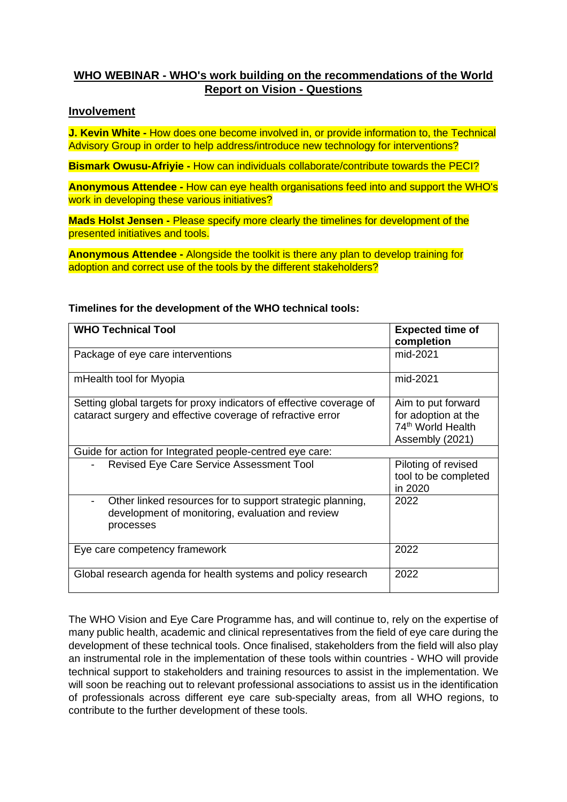# **WHO WEBINAR - WHO's work building on the recommendations of the World Report on Vision - Questions**

## **Involvement**

**J. Kevin White -** How does one become involved in, or provide information to, the Technical Advisory Group in order to help address/introduce new technology for interventions?

**Bismark Owusu-Afriyie -** How can individuals collaborate/contribute towards the PECI?

**Anonymous Attendee -** How can eye health organisations feed into and support the WHO's work in developing these various initiatives?

**Mads Holst Jensen -** Please specify more clearly the timelines for development of the presented initiatives and tools.

**Anonymous Attendee -** Alongside the toolkit is there any plan to develop training for adoption and correct use of the tools by the different stakeholders?

| <b>WHO Technical Tool</b>                                                                                                           | <b>Expected time of</b><br>completion                                                         |
|-------------------------------------------------------------------------------------------------------------------------------------|-----------------------------------------------------------------------------------------------|
| Package of eye care interventions                                                                                                   | mid-2021                                                                                      |
| mHealth tool for Myopia                                                                                                             | mid-2021                                                                                      |
| Setting global targets for proxy indicators of effective coverage of<br>cataract surgery and effective coverage of refractive error | Aim to put forward<br>for adoption at the<br>74 <sup>th</sup> World Health<br>Assembly (2021) |
| Guide for action for Integrated people-centred eye care:                                                                            |                                                                                               |
| Revised Eye Care Service Assessment Tool                                                                                            | Piloting of revised<br>tool to be completed<br>in 2020                                        |
| Other linked resources for to support strategic planning,<br>-<br>development of monitoring, evaluation and review<br>processes     | 2022                                                                                          |
| Eye care competency framework                                                                                                       | 2022                                                                                          |
| Global research agenda for health systems and policy research                                                                       | 2022                                                                                          |

#### **Timelines for the development of the WHO technical tools:**

The WHO Vision and Eye Care Programme has, and will continue to, rely on the expertise of many public health, academic and clinical representatives from the field of eye care during the development of these technical tools. Once finalised, stakeholders from the field will also play an instrumental role in the implementation of these tools within countries - WHO will provide technical support to stakeholders and training resources to assist in the implementation. We will soon be reaching out to relevant professional associations to assist us in the identification of professionals across different eye care sub-specialty areas, from all WHO regions, to contribute to the further development of these tools.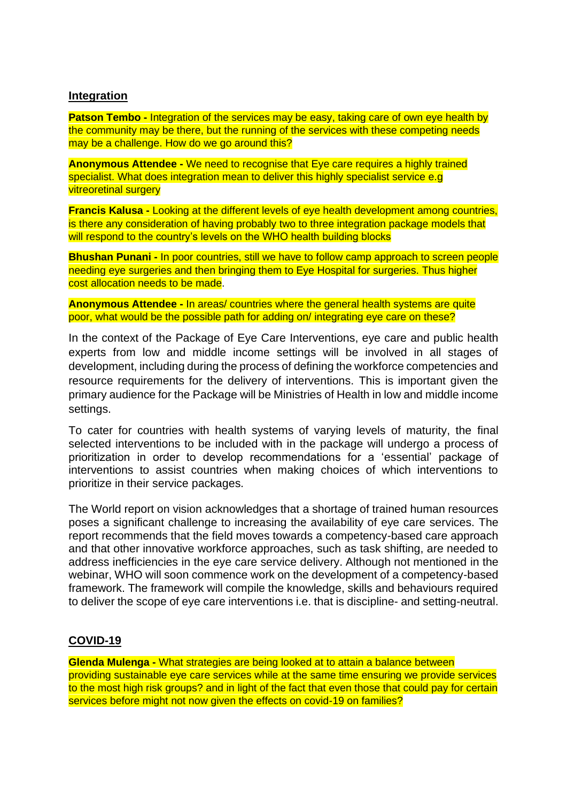## **Integration**

**Patson Tembo -** Integration of the services may be easy, taking care of own eye health by the community may be there, but the running of the services with these competing needs may be a challenge. How do we go around this?

**Anonymous Attendee -** We need to recognise that Eye care requires a highly trained specialist. What does integration mean to deliver this highly specialist service e.g vitreoretinal surgery

**Francis Kalusa -** Looking at the different levels of eye health development among countries, is there any consideration of having probably two to three integration package models that will respond to the country's levels on the WHO health building blocks

**Bhushan Punani -** In poor countries, still we have to follow camp approach to screen people needing eye surgeries and then bringing them to Eye Hospital for surgeries. Thus higher cost allocation needs to be made.

**Anonymous Attendee -** In areas/ countries where the general health systems are quite poor, what would be the possible path for adding on/ integrating eye care on these?

In the context of the Package of Eye Care Interventions, eye care and public health experts from low and middle income settings will be involved in all stages of development, including during the process of defining the workforce competencies and resource requirements for the delivery of interventions. This is important given the primary audience for the Package will be Ministries of Health in low and middle income settings.

To cater for countries with health systems of varying levels of maturity, the final selected interventions to be included with in the package will undergo a process of prioritization in order to develop recommendations for a 'essential' package of interventions to assist countries when making choices of which interventions to prioritize in their service packages.

The World report on vision acknowledges that a shortage of trained human resources poses a significant challenge to increasing the availability of eye care services. The report recommends that the field moves towards a competency-based care approach and that other innovative workforce approaches, such as task shifting, are needed to address inefficiencies in the eye care service delivery. Although not mentioned in the webinar, WHO will soon commence work on the development of a competency-based framework. The framework will compile the knowledge, skills and behaviours required to deliver the scope of eye care interventions i.e. that is discipline- and setting-neutral.

#### **COVID-19**

**Glenda Mulenga -** What strategies are being looked at to attain a balance between providing sustainable eye care services while at the same time ensuring we provide services to the most high risk groups? and in light of the fact that even those that could pay for certain services before might not now given the effects on covid-19 on families?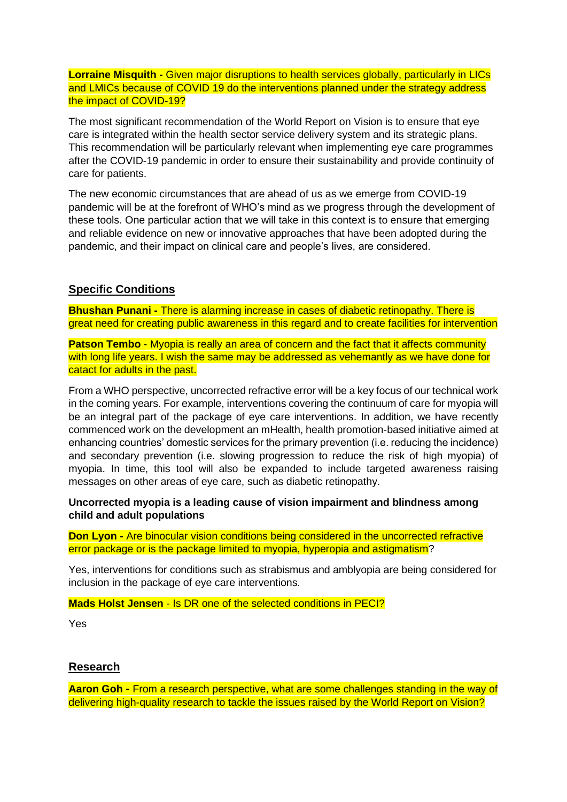**Lorraine Misquith -** Given major disruptions to health services globally, particularly in LICs and LMICs because of COVID 19 do the interventions planned under the strategy address the impact of COVID-19?

The most significant recommendation of the World Report on Vision is to ensure that eye care is integrated within the health sector service delivery system and its strategic plans. This recommendation will be particularly relevant when implementing eye care programmes after the COVID-19 pandemic in order to ensure their sustainability and provide continuity of care for patients.

The new economic circumstances that are ahead of us as we emerge from COVID-19 pandemic will be at the forefront of WHO's mind as we progress through the development of these tools. One particular action that we will take in this context is to ensure that emerging and reliable evidence on new or innovative approaches that have been adopted during the pandemic, and their impact on clinical care and people's lives, are considered.

## **Specific Conditions**

**Bhushan Punani -** There is alarming increase in cases of diabetic retinopathy. There is great need for creating public awareness in this regard and to create facilities for intervention

**Patson Tembo** - Myopia is really an area of concern and the fact that it affects community with long life years. I wish the same may be addressed as vehemantly as we have done for catact for adults in the past.

From a WHO perspective, uncorrected refractive error will be a key focus of our technical work in the coming years. For example, interventions covering the continuum of care for myopia will be an integral part of the package of eye care interventions. In addition, we have recently commenced work on the development an mHealth, health promotion-based initiative aimed at enhancing countries' domestic services for the primary prevention (i.e. reducing the incidence) and secondary prevention (i.e. slowing progression to reduce the risk of high myopia) of myopia. In time, this tool will also be expanded to include targeted awareness raising messages on other areas of eye care, such as diabetic retinopathy.

**Uncorrected myopia is a leading cause of vision impairment and blindness among child and adult populations**

**Don Lyon -** Are binocular vision conditions being considered in the uncorrected refractive error package or is the package limited to myopia, hyperopia and astigmatism?

Yes, interventions for conditions such as strabismus and amblyopia are being considered for inclusion in the package of eye care interventions.

**Mads Holst Jensen** - Is DR one of the selected conditions in PECI?

Yes

## **Research**

**Aaron Goh -** From a research perspective, what are some challenges standing in the way of delivering high-quality research to tackle the issues raised by the World Report on Vision?